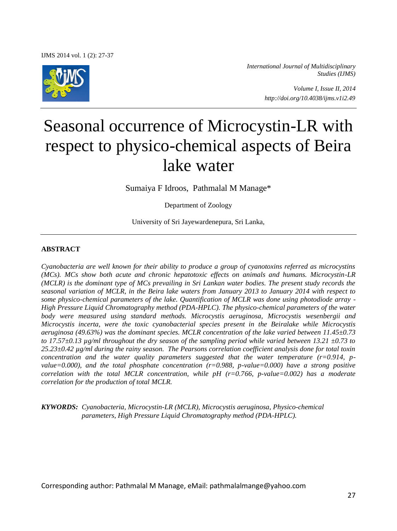IJMS 2014 vol. 1 (2): 27-37



*International Journal of Multidisciplinary Studies (IJMS)* 

> *Volume I, Issue II, 2014 http://doi.org/10.4038/ijms.v1i2.49*

# Seasonal occurrence of Microcystin-LR with respect to physico-chemical aspects of Beira lake water

Sumaiya F Idroos, Pathmalal M Manage\*

Department of Zoology

University of Sri Jayewardenepura, Sri Lanka,

#### **ABSTRACT**

*Cyanobacteria are well known for their ability to produce a group of cyanotoxins referred as microcystins (MCs). MCs show both acute and chronic hepatotoxic effects on animals and humans. Microcystin-LR (MCLR) is the dominant type of MCs prevailing in Sri Lankan water bodies. The present study records the seasonal variation of MCLR, in the Beira lake waters from January 2013 to January 2014 with respect to some physico-chemical parameters of the lake. Quantification of MCLR was done using photodiode array - High Pressure Liquid Chromatography method (PDA-HPLC). The physico-chemical parameters of the water body were measured using standard methods. Microcystis aeruginosa, Microcystis wesenbergii and Microcystis incerta, were the toxic cyanobacterial species present in the Beiralake while Microcystis aeruginosa (49.63%) was the dominant species. MCLR concentration of the lake varied between 11.45±0.73 to 17.57±0.13 µg/ml throughout the dry season of the sampling period while varied between 13.21 ±0.73 to 25.23±0.42 µg/ml during the rainy season. The Pearsons correlation coefficient analysis done for total toxin concentration and the water quality parameters suggested that the water temperature (r=0.914, pvalue=0.000), and the total phosphate concentration (r=0.988, p-value=0.000) have a strong positive correlation with the total MCLR concentration, while pH (r=0.766, p-value=0.002) has a moderate correlation for the production of total MCLR.* 

*KYWORDS: Cyanobacteria, Microcystin-LR (MCLR), Microcystis aeruginosa, Physico-chemical parameters, High Pressure Liquid Chromatography method (PDA-HPLC).* 

Corresponding author: Pathmalal M Manage, eMail: pathmalalmange@yahoo.com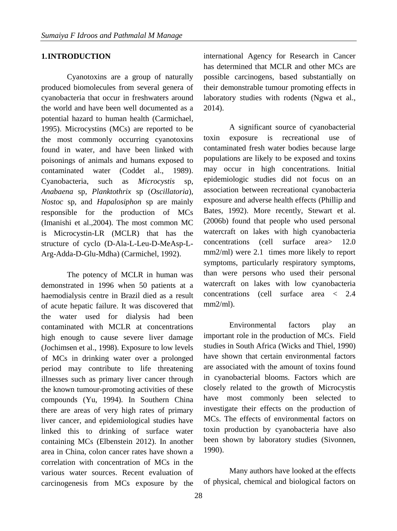## **1.INTRODUCTION**

Cyanotoxins are a group of naturally produced biomolecules from several genera of cyanobacteria that occur in freshwaters around the world and have been well documented as a potential hazard to human health (Carmichael, 1995). Microcystins (MCs) are reported to be the most commonly occurring cyanotoxins found in water, and have been linked with poisonings of animals and humans exposed to contaminated water (Coddet al., 1989). Cyanobacteria, such as *Microcystis* sp, *Anabaena* sp, *Planktothrix* sp (*Oscillatoria*), *Nostoc* sp, and *Hapalosiphon* sp are mainly responsible for the production of MCs (Imanishi et al.,2004). The most common MC is Microcystin-LR (MCLR) that has the structure of cyclo (D-Ala-L-Leu-D-MeAsp-L-Arg-Adda-D-Glu-Mdha) (Carmichel, 1992).

The potency of MCLR in human was demonstrated in 1996 when 50 patients at a haemodialysis centre in Brazil died as a result of acute hepatic failure. It was discovered that the water used for dialysis had been contaminated with MCLR at concentrations high enough to cause severe liver damage (Jochimsen et al., 1998). Exposure to low levels of MCs in drinking water over a prolonged period may contribute to life threatening illnesses such as primary liver cancer through the known tumour-promoting activities of these compounds (Yu, 1994). In Southern China there are areas of very high rates of primary liver cancer, and epidemiological studies have linked this to drinking of surface water containing MCs (Elbenstein 2012). In another area in China, colon cancer rates have shown a correlation with concentration of MCs in the various water sources. Recent evaluation of carcinogenesis from MCs exposure by the

international Agency for Research in Cancer has determined that MCLR and other MCs are possible carcinogens, based substantially on their demonstrable tumour promoting effects in laboratory studies with rodents (Ngwa et al., 2014).

A significant source of cyanobacterial toxin exposure is recreational use of contaminated fresh water bodies because large populations are likely to be exposed and toxins may occur in high concentrations. Initial epidemiologic studies did not focus on an association between recreational cyanobacteria exposure and adverse health effects (Phillip and Bates, 1992). More recently, Stewart et al. (2006b) found that people who used personal watercraft on lakes with high cyanobacteria concentrations (cell surface area> 12.0 mm2/ml) were 2.1 times more likely to report symptoms, particularly respiratory symptoms, than were persons who used their personal watercraft on lakes with low cyanobacteria concentrations (cell surface area < 2.4  $mm2/ml$ ).

Environmental factors play an important role in the production of MCs. Field studies in South Africa (Wicks and Thiel, 1990) have shown that certain environmental factors are associated with the amount of toxins found in cyanobacterial blooms. Factors which are closely related to the growth of Microcystis have most commonly been selected to investigate their effects on the production of MCs. The effects of environmental factors on toxin production by cyanobacteria have also been shown by laboratory studies (Sivonnen, 1990).

Many authors have looked at the effects of physical, chemical and biological factors on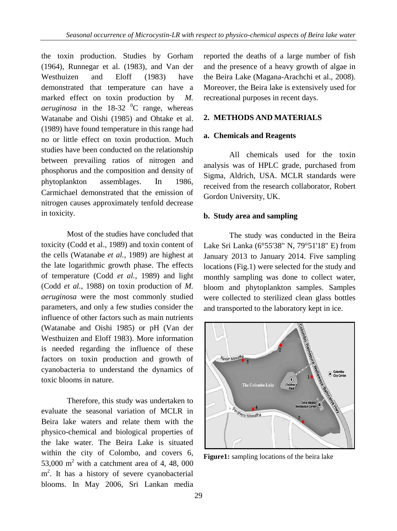the toxin production. Studies by Gorham (1964), Runnegar et al. (1983), and Van der Westhuizen and Eloff (1983) have demonstrated that temperature can have a marked effect on toxin production by *M. aeruginosa* in the  $18-32$  <sup>o</sup>C range, whereas Watanabe and Oishi (1985) and Ohtake et al. (1989) have found temperature in this range had no or little effect on toxin production. Much studies have been conducted on the relationship between prevailing ratios of nitrogen and phosphorus and the composition and density of phytoplankton assemblages. In 1986, Carmichael demonstrated that the emission of nitrogen causes approximately tenfold decrease in toxicity.

Most of the studies have concluded that toxicity (Codd et al., 1989) and toxin content of the cells (Watanabe *et al.,* 1989) are highest at the late logarithmic growth phase. The effects of temperature (Codd *et al.,* 1989) and light (Codd *et al.,* 1988) on toxin production of *M. aeruginosa* were the most commonly studied parameters, and only a few studies consider the influence of other factors such as main nutrients (Watanabe and Oishi 1985) or pH (Van der Westhuizen and Eloff 1983). More information is needed regarding the influence of these factors on toxin production and growth of cyanobacteria to understand the dynamics of toxic blooms in nature.

Therefore, this study was undertaken to evaluate the seasonal variation of MCLR in Beira lake waters and relate them with the physico-chemical and biological properties of the lake water. The Beira Lake is situated within the city of Colombo, and covers 6, 53,000  $m<sup>2</sup>$  with a catchment area of 4, 48, 000 m<sup>2</sup>. It has a history of severe cyanobacterial blooms. In May 2006, Sri Lankan media

reported the deaths of a large number of fish and the presence of a heavy growth of algae in the Beira Lake (Magana-Arachchi et al., 2008). Moreover, the Beira lake is extensively used for recreational purposes in recent days.

# **2. METHODS AND MATERIALS**

## **a. Chemicals and Reagents**

All chemicals used for the toxin analysis was of HPLC grade, purchased from Sigma, Aldrich, USA. MCLR standards were received from the research collaborator, Robert Gordon University, UK.

## **b. Study area and sampling**

The study was conducted in the Beira Lake Sri Lanka (6°55'38" N, 79°51'18" E) from January 2013 to January 2014. Five sampling locations (Fig.1) were selected for the study and monthly sampling was done to collect water, bloom and phytoplankton samples. Samples were collected to sterilized clean glass bottles and transported to the laboratory kept in ice.



**Figure1:** sampling locations of the beira lake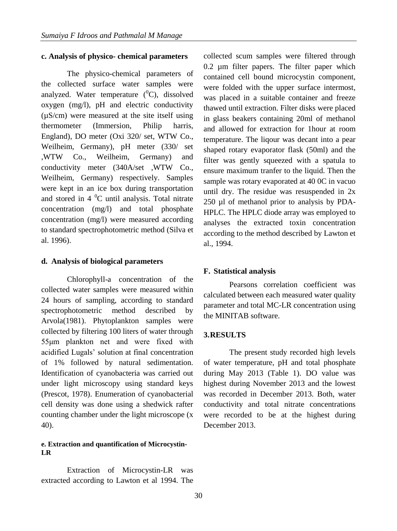#### **c. Analysis of physico- chemical parameters**

The physico-chemical parameters of the collected surface water samples were analyzed. Water temperature  $({}^{0}C)$ , dissolved oxygen (mg/l), pH and electric conductivity (µS/cm) were measured at the site itself using thermometer (Immersion, Philip harris, England), DO meter (Oxi 320/ set, WTW Co., Weilheim, Germany), pH meter (330/ set ,WTW Co., Weilheim, Germany) and conductivity meter (340A/set ,WTW Co., Weilheim, Germany) respectively. Samples were kept in an ice box during transportation and stored in  $4<sup>0</sup>C$  until analysis. Total nitrate concentration (mg/l) and total phosphate concentration (mg/l) were measured according to standard spectrophotometric method (Silva et al. 1996).

#### **d. Analysis of biological parameters**

Chlorophyll-a concentration of the collected water samples were measured within 24 hours of sampling, according to standard spectrophotometric method described by Arvola(1981). Phytoplankton samples were collected by filtering 100 liters of water through 55μm plankton net and were fixed with acidified Lugals' solution at final concentration of 1% followed by natural sedimentation. Identification of cyanobacteria was carried out under light microscopy using standard keys (Prescot, 1978). Enumeration of cyanobacterial cell density was done using a shedwick rafter counting chamber under the light microscope (x 40).

## **e. Extraction and quantification of Microcystin-LR**

Extraction of Microcystin-LR was extracted according to Lawton et al 1994. The

collected scum samples were filtered through 0.2 µm filter papers. The filter paper which contained cell bound microcystin component, were folded with the upper surface intermost, was placed in a suitable container and freeze thawed until extraction. Filter disks were placed in glass beakers containing 20ml of methanol and allowed for extraction for 1hour at room temperature. The liqour was decant into a pear shaped rotary evaporator flask (50ml) and the filter was gently squeezed with a spatula to ensure maximum tranfer to the liquid. Then the sample was rotary evaporated at 40 0C in vacuo until dry. The residue was resuspended in 2x 250 µl of methanol prior to analysis by PDA-HPLC. The HPLC diode array was employed to analyses the extracted toxin concentration according to the method described by Lawton et al., 1994.

#### **F. Statistical analysis**

Pearsons correlation coefficient was calculated between each measured water quality parameter and total MC-LR concentration using the MINITAB software.

#### **3.RESULTS**

The present study recorded high levels of water temperature, pH and total phosphate during May 2013 (Table 1). DO value was highest during November 2013 and the lowest was recorded in December 2013. Both, water conductivity and total nitrate concentrations were recorded to be at the highest during December 2013.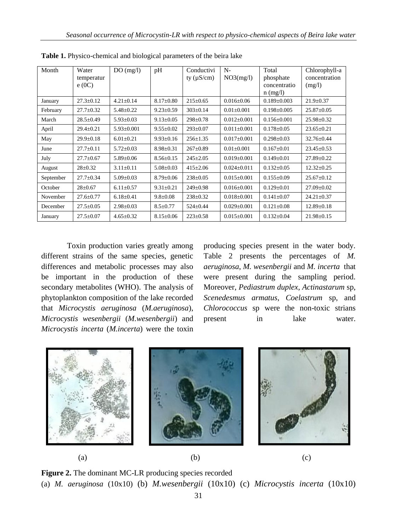| Month     | Water<br>temperatur<br>e(0C) | DO(mg/l)         | pH              | Conductivi<br>ty $(\mu S/cm)$ | $N-$<br>NO3(mg/l) | Total<br>phosphate<br>concentratio<br>$n$ (mg/l) | Chlorophyll-a<br>concentration<br>(mg/l) |
|-----------|------------------------------|------------------|-----------------|-------------------------------|-------------------|--------------------------------------------------|------------------------------------------|
| January   | $27.3 \pm 0.12$              | $4.21 \pm 0.14$  | $8.17 \pm 0.80$ | $215 \pm 0.65$                | $0.016 \pm 0.06$  | $0.189 \pm 0.003$                                | $21.9 \pm 0.37$                          |
| February  | $27.7 \pm 0.32$              | $5.48 \pm 0.22$  | $9.23 \pm 0.59$ | $303 \pm 0.14$                | $0.01 \pm 0.001$  | $0.198 \pm 0.005$                                | $25.87 \pm 0.05$                         |
| March     | $28.5 \pm 0.49$              | $5.93 \pm 0.03$  | $9.13 \pm 0.05$ | $298 \pm 0.78$                | $0.012 \pm 0.001$ | $0.156 \pm 0.001$                                | $25.98 \pm 0.32$                         |
| April     | $29.4 \pm 0.21$              | $5.93 \pm 0.001$ | $9.55 \pm 0.02$ | $293 \pm 0.07$                | $0.011 \pm 0.001$ | $0.178 \pm 0.05$                                 | $23.65 \pm 0.21$                         |
| May       | $29.9 \pm 0.18$              | $6.01 + 0.21$    | $9.93 \pm 0.16$ | $256 \pm 1.35$                | $0.017 \pm 0.001$ | $0.298 \pm 0.03$                                 | $32.76 \pm 0.44$                         |
| June      | $27.7 \pm 0.11$              | $5.72 \pm 0.03$  | $8.98 \pm 0.31$ | $267 \pm 0.89$                | $0.01 \pm 0.001$  | $0.167 \pm 0.01$                                 | $23.45 \pm 0.53$                         |
| July      | $27.7 \pm 0.67$              | $5.89 \pm 0.06$  | $8.56 \pm 0.15$ | $245 \pm 2.05$                | $0.019 \pm 0.001$ | $0.149 \pm 0.01$                                 | $27.89 \pm 0.22$                         |
| August    | $28 \pm 0.32$                | $3.11 \pm 0.11$  | $5.08 \pm 0.03$ | $415 \pm 2.06$                | $0.024 \pm 0.011$ | $0.132 \pm 0.05$                                 | $12.32 \pm 0.25$                         |
| September | $27.7 \pm 0.34$              | $5.09 \pm 0.03$  | $8.79 \pm 0.06$ | $238 \pm 0.05$                | $0.015 \pm 0.001$ | $0.155 \pm 0.09$                                 | $25.67 \pm 0.12$                         |
| October   | $28 \pm 0.67$                | $6.11 \pm 0.57$  | $9.31 \pm 0.21$ | $249 \pm 0.98$                | $0.016 \pm 0.001$ | $0.129 \pm 0.01$                                 | $27.09 \pm 0.02$                         |
| November  | $27.6 \pm 0.77$              | $6.18 \pm 0.41$  | $9.8 \pm 0.08$  | $238 \pm 0.32$                | $0.018 \pm 0.001$ | $0.141 \pm 0.07$                                 | $24.21 \pm 0.37$                         |
| December  | $27.5 \pm 0.05$              | $2.98 \pm 0.03$  | $8.5 \pm 0.77$  | $524 \pm 0.44$                | $0.029 \pm 0.001$ | $0.121 \pm 0.08$                                 | $12.89 \pm 0.18$                         |
| January   | $27.5 \pm 0.07$              | $4.65 \pm 0.32$  | $8.15 \pm 0.06$ | $223 \pm 0.58$                | $0.015 \pm 0.001$ | $0.132 \pm 0.04$                                 | $21.98 \pm 0.15$                         |

**Table 1.** Physico-chemical and biological parameters of the beira lake

Toxin production varies greatly among different strains of the same species, genetic differences and metabolic processes may also be important in the production of these secondary metabolites (WHO). The analysis of phytoplankton composition of the lake recorded that *Microcystis aeruginosa* (*M.aeruginosa*), *Microcystis wesenbergii* (*M.wesenbergii*) and *Microcystis incerta* (*M.incerta*) were the toxin

producing species present in the water body. Table 2 presents the percentages of *M. aeruginosa*, *M. wesenbergii* and *M. incerta* that were present during the sampling period. Moreover, *Pediastrum duplex*, *Actinastarum* sp, *Scenedesmus armatus*, *Coelastrum* sp, and *Chlorococcus* sp were the non-toxic strians present in lake water.



**Figure 2.** The dominant MC-LR producing species recorded (a) *M. aeruginosa* (10x10) (b) *M.wesenbergii* (10x10) (c) *Microcystis incerta* (10x10)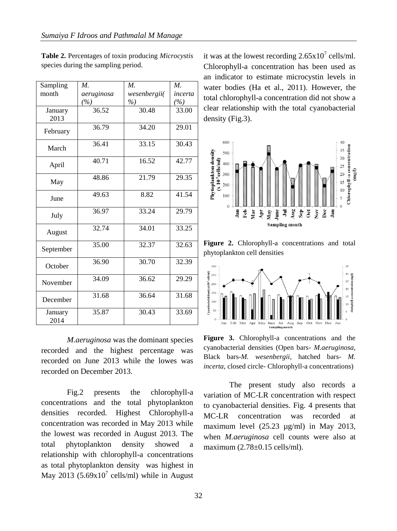| Sampling        | $M_{\cdot}$ | $M_{\cdot}$  | $M_{\cdot}$ |
|-----------------|-------------|--------------|-------------|
| month           | aeruginosa  | wesenbergii( | incerta     |
|                 | (%)         | %            | (%)         |
| January<br>2013 | 36.52       | 30.48        | 33.00       |
| February        | 36.79       | 34.20        | 29.01       |
| March           | 36.41       | 33.15        | 30.43       |
| April           | 40.71       | 16.52        | 42.77       |
| May             | 48.86       | 21.79        | 29.35       |
| June            | 49.63       | 8.82         | 41.54       |
| July            | 36.97       | 33.24        | 29.79       |
| August          | 32.74       | 34.01        | 33.25       |
| September       | 35.00       | 32.37        | 32.63       |
| October         | 36.90       | 30.70        | 32.39       |
| November        | 34.09       | 36.62        | 29.29       |
| December        | 31.68       | 36.64        | 31.68       |
| January<br>2014 | 35.87       | 30.43        | 33.69       |

**Table 2.** Percentages of toxin producing *Microcystis* species during the sampling period.

*M.aeruginosa* was the dominant species recorded and the highest percentage was recorded on June 2013 while the lowes was recorded on December 2013.

Fig.2 presents the chlorophyll-a concentrations and the total phytoplankton densities recorded. Highest Chlorophyll-a concentration was recorded in May 2013 while the lowest was recorded in August 2013. The total phytoplankton density showed a relationship with chlorophyll-a concentrations as total phytoplankton density was highest in May 2013  $(5.69 \times 10^{7} \text{ cells/ml})$  while in August

it was at the lowest recording  $2.65 \times 10^7$  cells/ml. Chlorophyll-a concentration has been used as an indicator to estimate microcystin levels in water bodies (Ha et al., 2011). However, the total chlorophyll-a concentration did not show a clear relationship with the total cyanobacterial density (Fig.3).



**Figure 2.** Chlorophyll-a concentrations and total phytoplankton cell densities



**Figure 3.** Chlorophyll-a concentrations and the cyanobacterial densities (Open bars- *M.aeruginosa*, Black bars-*M. wesenbergii*, hatched bars- *M. incerta*, closed circle- Chlorophyll-a concentrations)

The present study also records a variation of MC-LR concentration with respect to cyanobacterial densities. Fig. 4 presents that MC-LR concentration was recorded at maximum level  $(25.23 \text{ µg/ml})$  in May 2013, when *M.aeruginosa* cell counts were also at maximum (2.78±0.15 cells/ml).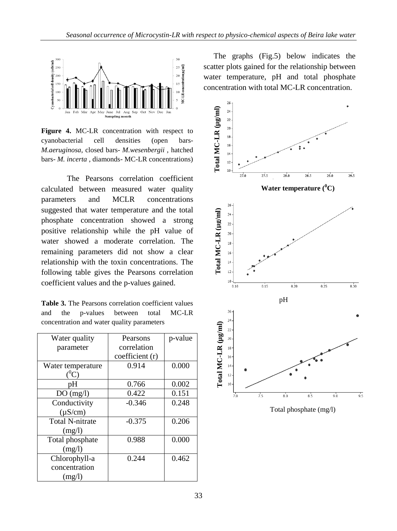

**Figure 4.** MC-LR concentration with respect to cyanobacterial cell densities (open bars-*M.aeruginosa*, closed bars- *M.wesenbergii* , hatched bars- *M. incerta* , diamonds- MC-LR concentrations)

The Pearsons correlation coefficient calculated between measured water quality parameters and MCLR concentrations suggested that water temperature and the total phosphate concentration showed a strong positive relationship while the pH value of water showed a moderate correlation. The remaining parameters did not show a clear relationship with the toxin concentrations. The following table gives the Pearsons correlation coefficient values and the p-values gained.

**Table 3.** The Pearsons correlation coefficient values and the p-values between total MC-LR concentration and water quality parameters

| Water quality          | Pearsons       | p-value |
|------------------------|----------------|---------|
| parameter              | correlation    |         |
|                        | coefficient(r) |         |
| Water temperature      | 0.914          | 0.000   |
| $\rm ^0\rm C$          |                |         |
| рH                     | 0.766          | 0.002   |
| DO(mg/l)               | 0.422          | 0.151   |
| Conductivity           | $-0.346$       | 0.248   |
| $(\mu S/cm)$           |                |         |
| <b>Total N-nitrate</b> | $-0.375$       | 0.206   |
| (mg/l)                 |                |         |
| Total phosphate        | 0.988          | 0.000   |
| (mg/l)                 |                |         |
| Chlorophyll-a          | 0.244          | 0.462   |
| concentration          |                |         |
| (mg/l)                 |                |         |

The graphs (Fig.5) below indicates the scatter plots gained for the relationship between water temperature, pH and total phosphate concentration with total MC-LR concentration.

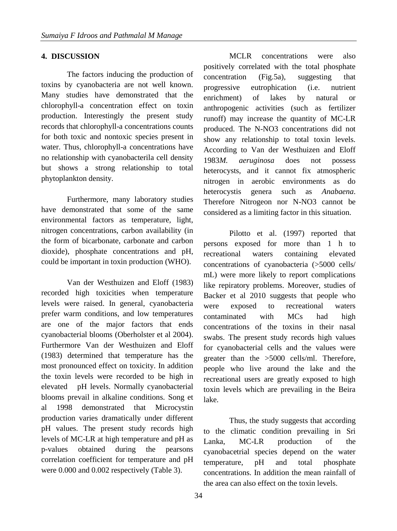# **4. DISCUSSION**

The factors inducing the production of toxins by cyanobacteria are not well known. Many studies have demonstrated that the chlorophyll-a concentration effect on toxin production. Interestingly the present study records that chlorophyll-a concentrations counts for both toxic and nontoxic species present in water. Thus, chlorophyll-a concentrations have no relationship with cyanobacterila cell density but shows a strong relationship to total phytoplankton density.

Furthermore, many laboratory studies have demonstrated that some of the same environmental factors as temperature, light, nitrogen concentrations, carbon availability (in the form of bicarbonate, carbonate and carbon dioxide), phosphate concentrations and pH, could be important in toxin production (WHO).

Van der Westhuizen and Eloff (1983) recorded high toxicities when temperature levels were raised. In general, cyanobacteria prefer warm conditions, and low temperatures are one of the major factors that ends cyanobacterial blooms (Oberholster et al 2004). Furthermore Van der Westhuizen and Eloff (1983) determined that temperature has the most pronounced effect on toxicity. In addition the toxin levels were recorded to be high in elevated pH levels. Normally cyanobacterial blooms prevail in alkaline conditions. Song et al 1998 demonstrated that Microcystin production varies dramatically under different pH values. The present study records high levels of MC-LR at high temperature and pH as p-values obtained during the pearsons correlation coefficient for temperature and pH were 0.000 and 0.002 respectively (Table 3).

MCLR concentrations were also positively correlated with the total phosphate concentration (Fig.5a), suggesting that progressive eutrophication (i.e. nutrient enrichment) of lakes by natural or anthropogenic activities (such as fertilizer runoff) may increase the quantity of MC-LR produced. The N-NO3 concentrations did not show any relationship to total toxin levels. According to Van der Westhuizen and Eloff 1983*M. aeruginosa* does not possess heterocysts, and it cannot fix atmospheric nitrogen in aerobic environments as do heterocystis genera such as *Anabaena*. Therefore Nitrogeon nor N-NO3 cannot be considered as a limiting factor in this situation.

Pilotto et al. (1997) reported that persons exposed for more than 1 h to recreational waters containing elevated concentrations of cyanobacteria (>5000 cells/ mL) were more likely to report complications like repiratory problems. Moreover, studies of Backer et al 2010 suggests that people who were exposed to recreational waters contaminated with MCs had high concentrations of the toxins in their nasal swabs. The present study records high values for cyanobacterial cells and the values were greater than the >5000 cells/ml. Therefore, people who live around the lake and the recreational users are greatly exposed to high toxin levels which are prevailing in the Beira lake.

Thus, the study suggests that according to the climatic condition prevailing in Sri Lanka, MC-LR production of the cyanobacetrial species depend on the water temperature, pH and total phosphate concentrations. In addition the mean rainfall of the area can also effect on the toxin levels.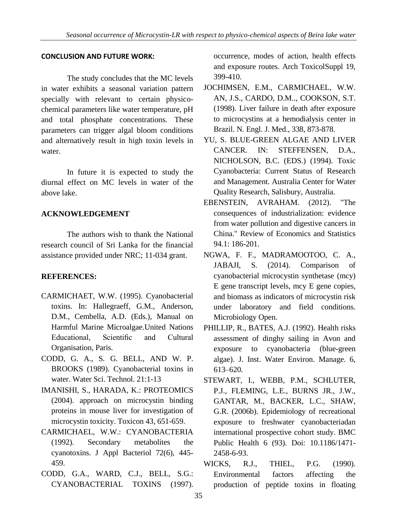## **CONCLUSION AND FUTURE WORK:**

The study concludes that the MC levels in water exhibits a seasonal variation pattern specially with relevant to certain physicochemical parameters like water temperature, pH and total phosphate concentrations. These parameters can trigger algal bloom conditions and alternatively result in high toxin levels in water.

In future it is expected to study the diurnal effect on MC levels in water of the above lake.

# **ACKNOWLEDGEMENT**

The authors wish to thank the National research council of Sri Lanka for the financial assistance provided under NRC; 11-034 grant.

# **REFERENCES:**

- CARMICHAET, W.W. (1995). Cyanobacterial toxins. In: Hallegraeff, G.M., Anderson, D.M., Cembella, A.D. (Eds.), Manual on Harmful Marine Microalgae.United Nations Educational, Scientific and Cultural Organisation, Paris.
- CODD, G. A., S. G. BELL, AND W. P. BROOKS (1989). Cyanobacterial toxins in water. Water Sci. Technol. 21:1-13
- IMANISHI, S., HARADA, K.: PROTEOMICS (2004). approach on microcystin binding proteins in mouse liver for investigation of microcystin toxicity. Toxicon 43, 651-659.
- CARMICHAEL, W.W.: CYANOBACTERIA (1992). Secondary metabolites the cyanotoxins. J Appl Bacteriol 72(6), 445- 459.
- CODD, G.A., WARD, C.J., BELL, S.G.: CYANOBACTERIAL TOXINS (1997).

occurrence, modes of action, health effects and exposure routes. Arch ToxicolSuppl 19, 399-410.

- JOCHIMSEN, E.M., CARMICHAEL, W.W. AN, J.S., CARDO, D.M.., COOKSON, S.T. (1998). Liver failure in death after exposure to microcystins at a hemodialysis center in Brazil. N. Engl. J. Med., 338, 873-878.
- YU, S. BLUE-GREEN ALGAE AND LIVER CANCER. IN: STEFFENSEN, D.A., NICHOLSON, B.C. (EDS.) (1994). Toxic Cyanobacteria: Current Status of Research and Management. Australia Center for Water Quality Research, Salisbury, Australia.
- EBENSTEIN, AVRAHAM. (2012). "The consequences of industrialization: evidence from water pollution and digestive cancers in China." Review of Economics and Statistics 94.1: 186-201.
- NGWA, F. F., MADRAMOOTOO, C. A., JABAJI, S. (2014). Comparison of cyanobacterial microcystin synthetase (mcy) E gene transcript levels, mcy E gene copies, and biomass as indicators of microcystin risk under laboratory and field conditions. Microbiology Open.
- PHILLIP, R., BATES, A.J. (1992). Health risks assessment of dinghy sailing in Avon and exposure to cyanobacteria (blue-green algae). J. Inst. Water Environ. Manage. 6, 613–620.
- STEWART, I., WEBB, P.M., SCHLUTER, P.J., FLEMING, L.E., BURNS JR., J.W., GANTAR, M., BACKER, L.C., SHAW, G.R. (2006b). Epidemiology of recreational exposure to freshwater cyanobacteriadan international prospective cohort study. BMC Public Health 6 (93). Doi: 10.1186/1471- 2458-6-93.
- WICKS, R.J., THIEL, P.G. (1990). Environmental factors affecting the production of peptide toxins in floating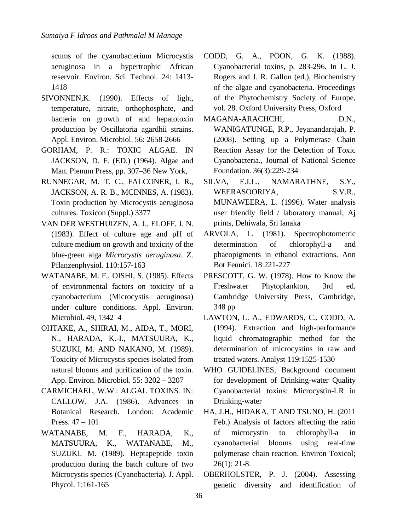scums of the cyanobacterium Microcystis aeruginosa in a hypertrophic African reservoir. Environ. Sci. Technol. 24: 1413- 1418

- SIVONNEN,K. (1990). Effects of light, temperature, nitrate, orthophosphate, and bacteria on growth of and hepatotoxin production by Oscillatoria agardhii strains. Appl. Environ. Microbiol. 56: 2658-2666
- GORHAM, P. R.: TOXIC ALGAE. IN JACKSON, D. F. (ED.) (1964). Algae and Man. Plenum Press, pp. 307–36 New York,
- RUNNEGAR, M. T. C., FALCONER, I. R., JACKSON, A. R. B., MCINNES, A. (1983). Toxin production by Microcystis aeruginosa cultures. Toxicon (Suppl.) 3377
- VAN DER WESTHUIZEN, A. J., ELOFF, J. N. (1983). Effect of culture age and pH of culture medium on growth and toxicity of the blue-green alga *Microcystis aeruginosa*. Z. Pflanzenphysiol. 110:157-163
- WATANABE, M. F., OISHI, S. (1985). Effects of environmental factors on toxicity of a cyanobacterium (Microcystis aeruginosa) under culture conditions. Appl. Environ. Microbiol. 49, 1342–4
- OHTAKE, A., SHIRAI, M., AIDA, T., MORI, N., HARADA, K.-I., MATSUURA, K., SUZUKI, M. AND NAKANO, M. (1989). Toxicity of Microcystis species isolated from natural blooms and purification of the toxin. App. Environ. Microbiol. 55: 3202 – 3207
- CARMICHAEL, W.W.: ALGAL TOXINS. IN: CALLOW, J.A. (1986). Advances in Botanical Research. London: Academic Press. 47 – 101
- WATANABE, M. F., HARADA, K., MATSUURA, K., WATANABE, M., SUZUKI. M. (1989). Heptapeptide toxin production during the batch culture of two Microcystis species (Cyanobacteria). J. Appl. Phycol. 1:161-165
- CODD, G. A., POON, G. K. (1988). Cyanobacterial toxins, p. 283-296. In L. J. Rogers and J. R. Gallon (ed.), Biochemistry of the algae and cyanobacteria. Proceedings of the Phytochemistry Society of Europe, vol. 28. Oxford University Press, Oxford
- MAGANA-ARACHCHI, D.N., WANIGATUNGE, R.P., Jeyanandarajah, P. (2008). Setting up a Polymerase Chain Reaction Assay for the Detection of Toxic Cyanobacteria., Journal of National Science Foundation. 36(3):229-234
- SILVA, E.I.L., NAMARATHNE, S.Y., WEERASOORIYA, S.V.R., MUNAWEERA, L. (1996). Water analysis user friendly field / laboratory manual, Aj prints, Dehiwala, Sri lanaka
- ARVOLA, L. (1981). Spectrophotometric determination of chlorophyll-a and phaeopigments in ethanol extractions. Ann Bot Fennici. 18:221-227
- PRESCOTT, G. W. (1978). How to Know the Freshwater Phytoplankton, 3rd ed. Cambridge University Press, Cambridge, 348 pp
- LAWTON, L. A., EDWARDS, C., CODD, A. (1994). Extraction and high-performance liquid chromatographic method for the determination of microcystins in raw and treated waters. Analyst 119:1525-1530
- WHO GUIDELINES, Background document for development of Drinking-water Quality Cyanobacterial toxins: Microcystin-LR in Drinking-water
- HA, J.H., HIDAKA, T AND TSUNO, H. (2011 Feb.) Analysis of factors affecting the ratio of microcystin to chlorophyll-a in cyanobacterial blooms using real-time polymerase chain reaction. Environ Toxicol; 26(1): 21-8.
- OBERHOLSTER, P. J. (2004). Assessing genetic diversity and identification of